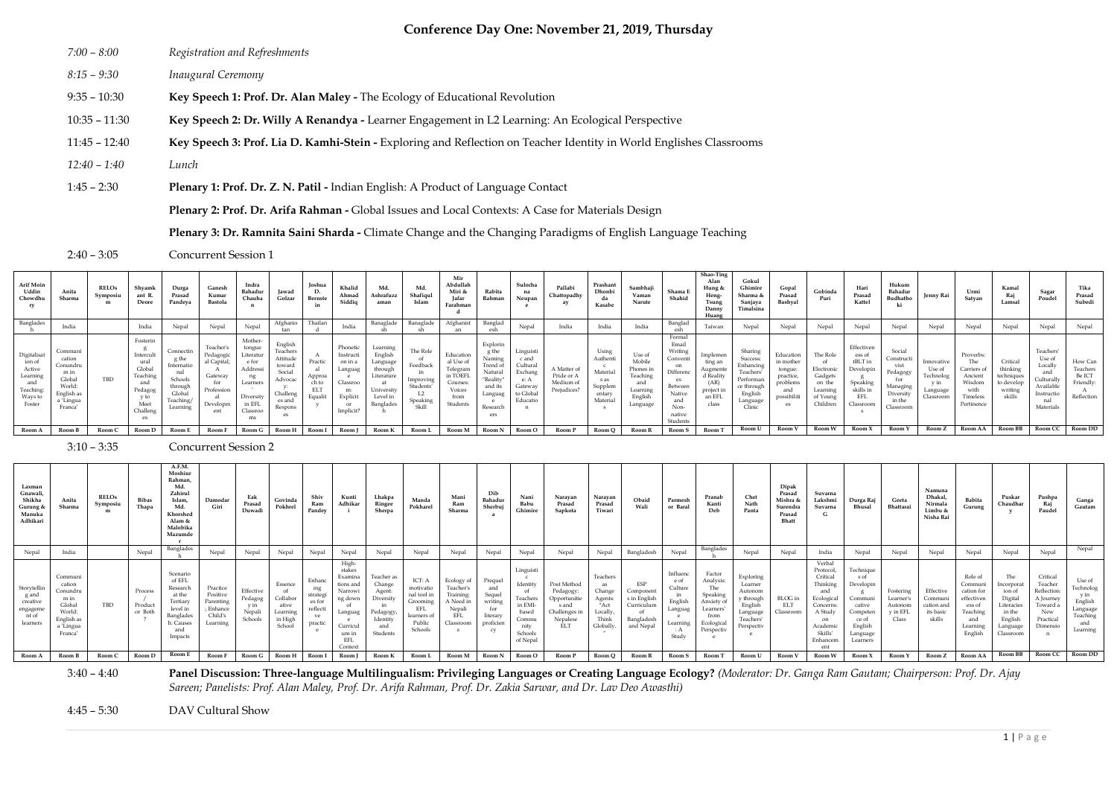# **Conference Day One: November 21, 2019, Thursday**

|                 | <b>Plenary 2: Prof. Dr. Arifa Rahman - Global Issues and Local Contexts: A Case for Materials Design</b>            |
|-----------------|---------------------------------------------------------------------------------------------------------------------|
| $1:45 - 2:30$   | <b>Plenary 1: Prof. Dr. Z. N. Patil - Indian English: A Product of Language Contact</b>                             |
| $12:40 - 1:40$  | Lunch                                                                                                               |
| $11:45 - 12:40$ | Key Speech 3: Prof. Lia D. Kamhi-Stein - Exploring and Reflection on Teacher Identity in World Englishes Classrooms |
| $10:35 - 11:30$ | Key Speech 2: Dr. Willy A Renandya - Learner Engagement in L2 Learning: An Ecological Perspective                   |
| $9:35 - 10:30$  | Key Speech 1: Prof. Dr. Alan Maley - The Ecology of Educational Revolution                                          |
| $8:15 - 9:30$   | Inaugural Ceremony                                                                                                  |
| $7:00 - 8:00$   | Registration and Refreshments                                                                                       |

**Plenary 3: Dr. Ramnita Saini Sharda -** Climate Change and the Changing Paradigms of English Language Teaching

2:40 – 3:05 Concurrent Session 1

| Arif Moin<br>Uddin<br>Chowdhu<br>ry                                                 | Anita<br>Sharma                                                                                 | <b>RELOs</b><br>Symposiu      | Shyamk<br>ant R.<br>Deore                                                                                   | Durga<br>Prasad<br>Pandeya                                                                                   | Ganesh<br>Kumar<br>Bastola                                                                                     | Indra<br>Bahadur<br>Chauha<br>$\mathbf n$                                                                      | Jawad<br>Golzar                                                                                       | Joshua<br>D.<br>Bernste<br>in                                    | Khalid<br>Ahmad<br>Siddig                                                                                                   | Md.<br>Ashrafuzz<br>aman                                                                              | Md.<br>Shafiqul<br>Islam                                                                  | Mir<br>Abdullah<br>Miri &<br>Jafar<br>Farahman<br>d                                      | Rabita<br>Rahman                                                                                               | Sulocha<br>na<br>Neupan<br>e                                                                                           | Pallabi<br>Chattopadhy                                                                         | Prashant<br>Dhonbi<br>da<br>Kasabe                                          | Sambhaji<br>Vaman<br>Narute                                                         | Shama<br>Shahid                                                                                                           | Shao-Ting<br>Alan<br>Hung &<br>Heng-<br>Tsung<br>Danny<br>Huang                                       | Gokul<br>Ghimire<br>Sharma &<br>Sanjaya<br>Timalsina                                                     | Gopal<br>Prasad<br>Bashyal                                                            | Gobinda<br>Puri                                                                                                                                      | Hari<br>Prasad<br>Kattel                                                                                         | Hukum<br>Bahadur<br>Budhatho<br>ki                                                              | Jenny Rai                                                          | Urmi<br>Satyan                                                                                     | Kamal<br>Raj<br>Lamsal                                                                             | Sagar<br>Poudel                                                                                    | Tika<br>Prasad<br>Subedi                                                          |
|-------------------------------------------------------------------------------------|-------------------------------------------------------------------------------------------------|-------------------------------|-------------------------------------------------------------------------------------------------------------|--------------------------------------------------------------------------------------------------------------|----------------------------------------------------------------------------------------------------------------|----------------------------------------------------------------------------------------------------------------|-------------------------------------------------------------------------------------------------------|------------------------------------------------------------------|-----------------------------------------------------------------------------------------------------------------------------|-------------------------------------------------------------------------------------------------------|-------------------------------------------------------------------------------------------|------------------------------------------------------------------------------------------|----------------------------------------------------------------------------------------------------------------|------------------------------------------------------------------------------------------------------------------------|------------------------------------------------------------------------------------------------|-----------------------------------------------------------------------------|-------------------------------------------------------------------------------------|---------------------------------------------------------------------------------------------------------------------------|-------------------------------------------------------------------------------------------------------|----------------------------------------------------------------------------------------------------------|---------------------------------------------------------------------------------------|------------------------------------------------------------------------------------------------------------------------------------------------------|------------------------------------------------------------------------------------------------------------------|-------------------------------------------------------------------------------------------------|--------------------------------------------------------------------|----------------------------------------------------------------------------------------------------|----------------------------------------------------------------------------------------------------|----------------------------------------------------------------------------------------------------|-----------------------------------------------------------------------------------|
| Banglades                                                                           | India                                                                                           |                               | India                                                                                                       | Nepal                                                                                                        | Nepal                                                                                                          | Nepal                                                                                                          | Afghanis<br>tan                                                                                       | Thailan<br>-d                                                    | India                                                                                                                       | Banaglade                                                                                             | Banaglade<br>sh                                                                           | Afghanis<br>an                                                                           | Banglad<br>esh                                                                                                 | Nepal                                                                                                                  | India                                                                                          | India                                                                       | India                                                                               | Banglad<br>esh                                                                                                            | Taiwan                                                                                                | Nepal                                                                                                    | Nepal                                                                                 | Nepal                                                                                                                                                | Nepal                                                                                                            | Nepal                                                                                           | Nepal                                                              | Nepal                                                                                              | Nepal                                                                                              | Nepal                                                                                              | Nepal                                                                             |
| Digitalisat<br>ion of<br>Active<br>Learning<br>and<br>Teaching<br>Ways to<br>Foster | Communi<br>cation<br>Conundru<br>m in<br>Global<br>World:<br>Inglish as<br>a 'Lingua<br>Franca' | TBD                           | Fosterin<br>g<br>Intercul<br>ural<br>Global<br>Teaching<br>and<br>Pedagog<br>y to<br>Meet<br>Challeng<br>es | Connectir<br>g the<br>Internatio<br>nal<br>Schools<br>through<br>Global<br>[eaching<br>Learning              | Teacher's<br>Pedagogio<br>al Capital;<br>$\mathbf{A}$<br>Gateway<br>for<br>Profession<br>al<br>Developm<br>ent | Mother-<br>tongue<br>Literatur<br>e for<br>Addressi<br>ng<br>Learners<br>Diversity<br>in EFL<br>Classroo<br>ms | English<br>Teachers<br>Attitude<br>toward<br>Social<br>Advocac<br>Challeng<br>es and<br>Respons<br>es | A<br>Practic<br>al<br>Approa<br>ch to<br>ELT<br>Equalit          | Phonetic<br>Instructi<br>on in a<br>Languag<br>e<br>Classroo<br>m:<br>Explicit<br>or<br>Implicit?                           | Learning<br>English<br>Language<br>through<br>Literature<br>at<br>University<br>Level in<br>Banglades | The Role<br>of<br>Feedback<br>in<br>Improving<br>Students'<br>L2<br>Speaking<br>Skill     | Education<br>al Use of<br>Telegram<br>in TOEFL<br>Courses:<br>Voices<br>from<br>Students | Explorin<br>g the<br>Naming<br>Trend of<br>Natural<br>"Reality'<br>and its<br>Languag<br>e.<br>Research<br>ers | Linguisti<br>c and<br>Cultural<br>Exchang<br>e: A<br>Gateway<br>to Global<br>Educatio<br>n                             | A Matter of<br>Pride or A<br>Medium of<br>Prejudices?                                          | Using<br>Authenti<br>Material<br>s as<br>Supplem<br>entary<br>Material      | Use of<br>Mobile<br>Phones in<br>Teaching<br>and<br>Learning<br>English<br>Language | Formal<br>Email<br>Writing<br>Conventi<br>on<br>Differenc<br>es<br>Between<br>Native<br>and<br>Non-<br>native<br>Students | Implemen<br>ting an<br>Augmente<br>d Reality<br>(AR)<br>project in<br>an EFL<br>class                 | Sharing<br>Success:<br>Enhancing<br>Teachers<br>Performan<br>ce through<br>English<br>Language<br>Clinic | Education<br>in mother<br>tongue:<br>practice,<br>problems<br>and<br>possibilit<br>es | The Role<br>of<br>Electronic<br>Gadgets<br>on the<br>Learning<br>of Young<br>Children                                                                | Effectiven<br>ess of<br>tBLT in<br>Developin<br>g<br>Speaking<br>skills in<br>EFL<br>Classroom<br>s.             | Social<br>Constructi<br>vist<br>Pedagogy<br>for<br>Managing<br>Diversity<br>in the<br>Classroom | Innovative<br>Use of<br>Technolog<br>y in<br>Language<br>Classroom | Proverbs:<br>The<br>Carriers of<br>Ancient<br>Wisdom<br>with<br>Timeless<br>Pertinence             | Critical<br>thinking<br>techniques<br>to develop<br>writing<br>skills                              | Teachers'<br>Use of<br>Locally<br>and<br>Culturally<br>Available<br>Instructio<br>nal<br>Materials | How Can<br>Teachers<br>Be ICT<br>Friendly:<br>$\mathbf{A}$<br>Reflection          |
| Room A                                                                              | Room B                                                                                          | Room C                        | Room D                                                                                                      | Room E                                                                                                       | Room F                                                                                                         | Room G                                                                                                         | Room H                                                                                                | Room I                                                           | Room J                                                                                                                      | Room K                                                                                                | Room L                                                                                    | Room M                                                                                   | Room N                                                                                                         | Room O                                                                                                                 | Room P                                                                                         | Room O                                                                      | Room R                                                                              | Room S                                                                                                                    | Room T                                                                                                | Room L                                                                                                   | Room V                                                                                | Room W                                                                                                                                               | Room X                                                                                                           | Room Y                                                                                          | Room Z                                                             | Room AA                                                                                            | <b>Room BB</b>                                                                                     | Room CC                                                                                            | Room DD                                                                           |
|                                                                                     | $3:10 - 3:35$<br><b>Concurrent Session 2</b><br>A.F.M.                                          |                               |                                                                                                             |                                                                                                              |                                                                                                                |                                                                                                                |                                                                                                       |                                                                  |                                                                                                                             |                                                                                                       |                                                                                           |                                                                                          |                                                                                                                |                                                                                                                        |                                                                                                |                                                                             |                                                                                     |                                                                                                                           |                                                                                                       |                                                                                                          |                                                                                       |                                                                                                                                                      |                                                                                                                  |                                                                                                 |                                                                    |                                                                                                    |                                                                                                    |                                                                                                    |                                                                                   |
| Laxman<br>Gnawali,<br>Shikha<br>Gurung &<br>Manuka<br>Adhikari                      | Anita<br>Sharma                                                                                 | <b>RELOs</b><br>Symposiu<br>m | Bibas<br>Thapa                                                                                              | Moshiur<br>Rahman,<br>Md.<br>Zahirul<br>Islam,<br>Md.<br>Khorshed<br>Alam &<br>Malobika<br>Mazumde           | Damodar<br>Giri                                                                                                | Eak<br>Prasad<br>Duwadi                                                                                        | Govinda<br>Pokhrel                                                                                    | Shiv<br>Ram<br>Pandey                                            | Kunti<br>Adhikar                                                                                                            | Lhakpa<br>Ringee<br>Sherpa                                                                            | Manda<br>Pokharel                                                                         | Mani<br>Ram<br>Sharma                                                                    | Dib<br>Bahadur<br>Sherbuj<br>a                                                                                 | Nani<br>Babu<br>Ghimire                                                                                                | Narayan<br>Prasad<br>Sapkota                                                                   | Narayan<br>Prasad<br>Tiwari                                                 | Obaid<br>Wali                                                                       | Parmesh<br>or Baral                                                                                                       | Pranab<br>Kanti<br>Deb                                                                                | Chet<br>Nath<br>Panta                                                                                    | Dipak<br>Prasad<br>Mishra &<br>Surendra<br>Prasad<br><b>Bhatt</b>                     | Suvarna<br>Lakshmi<br>Suvarna<br>G                                                                                                                   | Durga Raj<br>Bhusal                                                                                              | Geeta<br>Bhattarai                                                                              | Namuna<br>Dhakal,<br>Nirmala<br>Limbu &<br>Nisha Rai               | Babita<br>Gurung                                                                                   | Puskar<br>Chaudhar<br>$\mathbf{v}$                                                                 | Pushpa<br>Raj<br>Paudel                                                                            | Ganga<br>Gautam                                                                   |
| Nepal                                                                               | India                                                                                           |                               | Nepal                                                                                                       | Banglades                                                                                                    | Nepal                                                                                                          | Nepal                                                                                                          | Nepal                                                                                                 | Nepal                                                            | Nepal                                                                                                                       | Nepal                                                                                                 | Nepal                                                                                     | Nepal                                                                                    | Nepal                                                                                                          | Nepal                                                                                                                  | Nepal                                                                                          | Nepal                                                                       | Bangladesh                                                                          | Nepal                                                                                                                     | Banglades                                                                                             | Nepal                                                                                                    | Nepal                                                                                 | India                                                                                                                                                | Nepal                                                                                                            | Nepal                                                                                           | Nepal                                                              | Nepal                                                                                              | Nepal                                                                                              | Nepal                                                                                              | Nepal                                                                             |
| Storytellin<br>g and<br>creative<br>engageme<br>nt of<br>learners                   | Communi<br>cation<br>Conundru<br>m in<br>Global<br>World:<br>English as<br>a 'Lingua<br>Franca' | TBD                           | Process<br>Product<br>or Both                                                                               | Scenario<br>of EFL<br>Research<br>at the<br>Tertiary<br>level in<br>Banglades<br>h: Causes<br>and<br>Impacts | Practice<br>Positive<br>Parenting<br>Enhance<br>Child's<br>Learning                                            | Effective<br>Pedagog<br>v in<br>Nepali<br>Schools                                                              | Essence<br>of<br>Collabor<br>ative<br>Learning<br>in High<br>School                                   | Enhanc<br>ing<br>strategi<br>es for<br>reflecti<br>ve<br>practic | High-<br>stakes<br>Examina<br>tions and<br>Narrowi<br>ng down<br>of<br>Languag<br>e.<br>Curricul<br>um in<br>EFL<br>Context | Teacher as<br>Change<br>Agent:<br>Diversity<br>in<br>Pedagogy<br>Identity<br>and<br>Students          | ICT: A<br>motivatio<br>nal tool in<br>Grooming<br>EFL<br>learners of<br>Public<br>Schools | Ecology of<br>Teacher's<br>Training:<br>A Need in<br>Nepali<br>EFL<br>Classroom          | Prequel<br>and<br>Sequel<br>writing<br>for<br>literary<br>proficien<br>cy                                      | Linguisti<br>$\mathcal{C}$<br>Identity<br>- of<br>Teachers<br>in EMI-<br>based<br>Commu<br>nity<br>Schools<br>of Nepal | Post Method<br>Pedagogy:<br>Opportunitie<br>s and<br>Challenges in<br>Nepalese<br>$_{\rm ELT}$ | Teachers<br>as<br>Change<br>Agents:<br>"Act<br>Locally<br>Think<br>Globally | ESP<br>Component<br>s in English<br>Curriculum<br>of<br>Bangladesh<br>and Nepal     | Influenc<br>e of<br>Culture<br>in<br>English<br>Languag<br>e<br>Learning<br>: A<br>Study                                  | Factor<br>Analysis:<br>The<br>Speaking<br>Anxiety of<br>Learners'<br>from<br>Ecological<br>Perspectiv | Exploring<br>Learner<br>Autonom<br>y through<br>English<br>Language<br>Teachers<br>Perspectiv            | BLOG in<br>ELT<br>Classroom                                                           | Verbal<br>Protocol,<br>Critical<br>Thinking<br>and<br>Ecological<br>Concerns:<br>A Study<br>on<br>Academic<br>Skills <sup>'</sup><br>Enhancen<br>ent | Technique<br>s of<br>Developin<br>g<br>Communi<br>cative<br>Competen<br>ce of<br>English<br>Language<br>Learners | Fostering<br>Learner's<br>Autonom<br>v in EFL<br>Class                                          | Effective<br>Communi<br>cation and<br>its basic<br>skills          | Role of<br>Communi<br>cation for<br>effectiven<br>ess of<br>Teaching<br>and<br>Learning<br>English | The<br>Incorporat<br>ion of<br>Digital<br>Literacies<br>in the<br>English<br>Language<br>Classroom | Critical<br>Teacher<br>Reflection:<br>A Journey<br>Toward a<br>New<br>Practical<br>Dimensio<br>n   | Use of<br>Technolog<br>y in<br>English<br>Language<br>Teaching<br>and<br>Learning |
| Room A                                                                              | Room B                                                                                          | Room C                        | Room D                                                                                                      | Room E                                                                                                       | Room F                                                                                                         | Room G                                                                                                         | Room H                                                                                                | Room I                                                           | Room J                                                                                                                      | Room K                                                                                                | Room L                                                                                    | Room M                                                                                   | Room N                                                                                                         | Room O                                                                                                                 | Room P                                                                                         | Room O                                                                      | Room R                                                                              | Room S                                                                                                                    | Room T                                                                                                | Room U                                                                                                   | Room V                                                                                | Room W                                                                                                                                               | Room X                                                                                                           | Room Y                                                                                          | Room Z                                                             | Room AA                                                                                            | Room BB                                                                                            | Room CC                                                                                            | Room DD                                                                           |

3:40 – 4:40 **Panel Discussion: Three-language Multilingualism: Privileging Languages or Creating Language Ecology?** *(Moderator: Dr. Ganga Ram Gautam; Chairperson: Prof. Dr. Ajay Sareen; Panelists: Prof. Alan Maley, Prof. Dr. Arifa Rahman, Prof. Dr. Zakia Sarwar, and Dr. Lav Deo Awasthi)*

4:45 – 5:30 DAV Cultural Show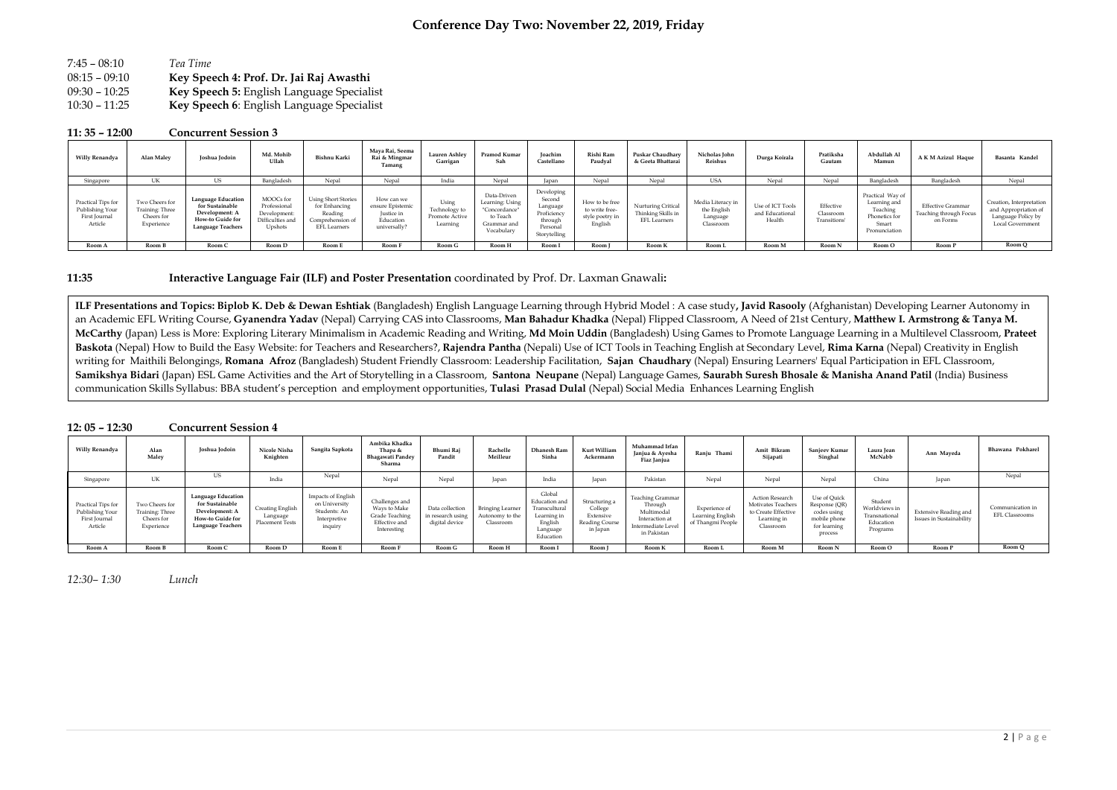| $7:45 - 08:10$  | Tea Time                                  |
|-----------------|-------------------------------------------|
| $08:15 - 09:10$ | Key Speech 4: Prof. Dr. Jai Raj Awasthi   |
| $09:30 - 10:25$ | Key Speech 5: English Language Specialist |
| $10:30 - 11:25$ | Key Speech 6: English Language Specialist |

| $11:35 - 12:00$ | <b>Concurrent Session 3</b> |
|-----------------|-----------------------------|
|                 |                             |

| Willy Renandya                                                    | Alan Maley                                                    | Joshua Jodoin                                                                                                         | Md. Mohib<br>Ullah                                                       | Bishnu Karki                                                                              | Maya Rai, Seema<br>Rai & Mingmar<br>Tamang                               | Lauren Ashley<br>Garrigan                            | Pramod Kumar<br>Sah                                                                      | Joachim<br>Castellano                                                                 | Rishi Ram<br>Paudyal                                           | <b>Puskar Chaudharv</b><br>& Geeta Bhattarai                    | Nicholas John<br>Reishus                                  | Durga Koirala                                 | Pratiksha<br>Gautam                    | Abdullah Al<br>Mamun                                                                    | A K M Azizul Haque                                             | Basanta Kandel                                                                                    |
|-------------------------------------------------------------------|---------------------------------------------------------------|-----------------------------------------------------------------------------------------------------------------------|--------------------------------------------------------------------------|-------------------------------------------------------------------------------------------|--------------------------------------------------------------------------|------------------------------------------------------|------------------------------------------------------------------------------------------|---------------------------------------------------------------------------------------|----------------------------------------------------------------|-----------------------------------------------------------------|-----------------------------------------------------------|-----------------------------------------------|----------------------------------------|-----------------------------------------------------------------------------------------|----------------------------------------------------------------|---------------------------------------------------------------------------------------------------|
| Singapore                                                         | UK                                                            | US.                                                                                                                   | Bangladesh                                                               | Nepal                                                                                     | Nepal                                                                    | India                                                | Nepal                                                                                    | Japan                                                                                 | Nepal                                                          | Nepal                                                           | USA                                                       | Nepal                                         | Nepal                                  | Bangladesh                                                                              | Bangladesh                                                     | Nepal                                                                                             |
| Practical Tips for<br>Publishing Your<br>First Journal<br>Article | Two Cheers for<br>Training: Three<br>Cheers for<br>Experience | <b>Language Education</b><br>for Sustainable<br>Development: A<br><b>How-to Guide for</b><br><b>Language Teachers</b> | MOOCs for<br>Professional<br>Development:<br>Difficulties and<br>Upshots | <b>Using Short Stories</b><br>for Enhancing<br>Reading<br>Comprehension c<br>EFL Learners | How can we<br>ensure Epistemic<br>Justice in<br>Education<br>universally | Using<br>Technology to<br>Promote Active<br>Learning | Data-Driven<br>Learning: Using<br>"Concordance"<br>to Teach<br>Grammar and<br>Vocabulary | Developing<br>Second<br>Language<br>Proficiency<br>through<br>Persona<br>Storytelling | How to be free<br>to write free-<br>style poetry in<br>English | Nurturing Critical<br>Thinking Skills in<br><b>EFL Learners</b> | Media Literacy in<br>the English<br>Language<br>Classroom | Use of ICT Tools<br>and Educational<br>Health | Effective<br>Classroom<br>Transitions' | Practical Way of<br>Learning and<br>Teaching<br>Phonetics for<br>Smart<br>Pronunciation | <b>Effective Grammar</b><br>Teaching through Focus<br>on Forms | Creation, Interpretation<br>and Appropriation of<br>Language Policy by<br><b>Local Government</b> |
| Room A                                                            | Room B                                                        | Room C                                                                                                                | Room D                                                                   | Room E                                                                                    | Room                                                                     | Room G                                               | Room H                                                                                   | Room:                                                                                 | Room <sup>3</sup>                                              | Room 1                                                          | Room l                                                    | Room M                                        | Room N                                 | Room (                                                                                  | Room                                                           | Room Q                                                                                            |

**11:35 Interactive Language Fair (ILF) and Poster Presentation** coordinated by Prof. Dr. Laxman Gnawali**:**

#### **12: 05 – 12:30 Concurrent Session 4**

| Willy Renandya                                                    | Alan<br>Maley                                                 | Joshua Jodoin                                                                                                         | Nicole Nisha<br>Knighten                                      | Sangita Sapkota                                                                | Ambika Khadka<br>Thapa &<br>Bhagawati Pandey<br>Sharma                           | Bhumi Ra<br>Pandit                                     | Rachelle<br>Meilleur                             | <b>Dhanesh Ram</b><br>Sinha                                                                 | Kurt William<br>Ackermann                                                  | Muhammad Irfan<br>Janjua & Ayesha<br>Fiaz Janjua                                                        | Raniu Thami                                            | Amit Bikram<br>Sijapati                                                                         | Sanieev Kumar<br>Singhal                                                                | Laura Jean<br>McNabb                                               | Ann Mayeda                                               | Bhawana Pokharel                          |
|-------------------------------------------------------------------|---------------------------------------------------------------|-----------------------------------------------------------------------------------------------------------------------|---------------------------------------------------------------|--------------------------------------------------------------------------------|----------------------------------------------------------------------------------|--------------------------------------------------------|--------------------------------------------------|---------------------------------------------------------------------------------------------|----------------------------------------------------------------------------|---------------------------------------------------------------------------------------------------------|--------------------------------------------------------|-------------------------------------------------------------------------------------------------|-----------------------------------------------------------------------------------------|--------------------------------------------------------------------|----------------------------------------------------------|-------------------------------------------|
| Singapore                                                         | UK                                                            | US                                                                                                                    | India                                                         | Nepal                                                                          | Nepal                                                                            | Nepal                                                  | Japan                                            | India                                                                                       | Japan                                                                      | Pakistan                                                                                                | Nepal                                                  | Nepal                                                                                           | Nepal                                                                                   | China                                                              | Japan                                                    | Nepal                                     |
| Practical Tips for<br>Publishing Your<br>First Journal<br>Article | Two Cheers for<br>Training: Three<br>Cheers for<br>Experience | <b>Language Education</b><br>for Sustainable<br>Development: A<br><b>How-to Guide for</b><br><b>Language Teachers</b> | <b>Creating English</b><br>Language<br><b>Placement Tests</b> | Impacts of English<br>on University<br>Students: An<br>Interpretive<br>inquiry | Challenges and<br>Ways to Make<br>Grade Teaching<br>Effective and<br>Interesting | Data collection<br>in research using<br>digital device | Bringing Learner<br>Autonomy to the<br>Classroom | Global<br>Education and<br>Transcultural<br>Learning in<br>English<br>Language<br>Education | Structuring a<br>College<br>Extensive<br><b>Reading Course</b><br>in Japan | <b>Teaching Grammar</b><br>Through<br>Multimodal<br>Interaction at<br>Intermediate Level<br>in Pakistan | Experience of<br>Learning English<br>of Thangmi People | <b>Action Research</b><br>Motivates Teachers<br>to Create Effective<br>Learning in<br>Classroom | Use of Quick<br>Response (QR)<br>codes using<br>mobile phone<br>for learning<br>process | Student<br>Worldviews in<br>Transnational<br>Education<br>Programs | <b>Extensive Reading and</b><br>Issues in Sustainability | Communication in<br><b>EFL Classrooms</b> |
| Room A                                                            | Room B                                                        | Room (                                                                                                                | Room D                                                        | Room                                                                           | Room                                                                             | Room G                                                 | Room H                                           | Room 1                                                                                      | Room ]                                                                     | Room K                                                                                                  | Room L                                                 | Room M                                                                                          | Room N                                                                                  | Room C                                                             | Room I                                                   | Room Q                                    |

*12:30– 1:30 Lunch*

**ILF Presentations and Topics: Biplob K. Deb & Dewan Eshtiak** (Bangladesh) English Language Learning through Hybrid Model : A case study**, Javid Rasooly** (Afghanistan) Developing Learner Autonomy in an Academic EFL Writing Course, **Gyanendra Yadav** (Nepal) Carrying CAS into Classrooms, **Man Bahadur Khadka** (Nepal) Flipped Classroom, A Need of 21st Century, **Matthew I. Armstrong & Tanya M. McCarthy** (Japan) Less is More: Exploring Literary Minimalism in Academic Reading and Writing, **Md Moin Uddin** (Bangladesh) Using Games to Promote Language Learning in a Multilevel Classroom, **Prateet Baskota** (Nepal) How to Build the Easy Website: for Teachers and Researchers?, **Rajendra Pantha** (Nepali) Use of ICT Tools in Teaching English at Secondary Level, **Rima Karna** (Nepal) Creativity in English writing for Maithili Belongings, **Romana Afroz** (Bangladesh) Student Friendly Classroom: Leadership Facilitation, **Sajan Chaudhary** (Nepal) Ensuring Learners' Equal Participation in EFL Classroom, **Samikshya Bidari** (Japan) ESL Game Activities and the Art of Storytelling in a Classroom, **Santona Neupane** (Nepal) Language Games, **Saurabh Suresh Bhosale & Manisha Anand Patil** (India) Business communication Skills Syllabus: BBA student's perception and employment opportunities, **Tulasi Prasad Dulal** (Nepal) Social Media Enhances Learning English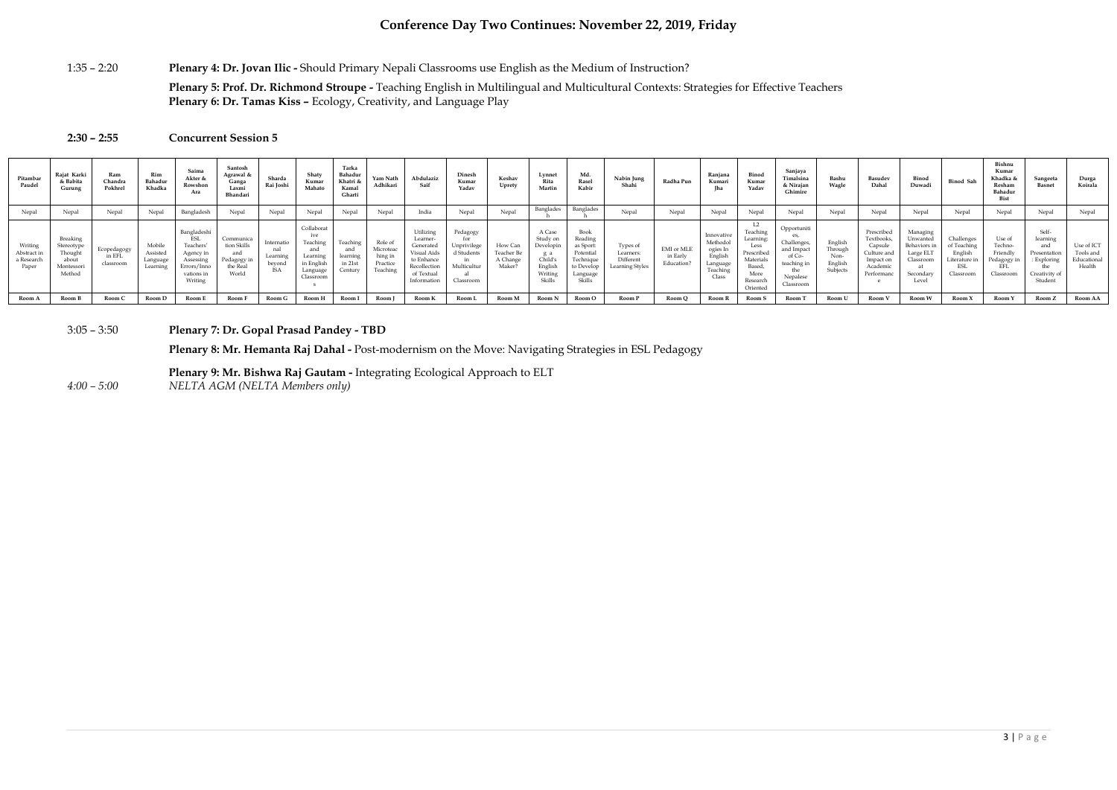## **Conference Day Two Continues: November 22, 2019, Friday**

1:35 – 2:20 **Plenary 4: Dr. Jovan Ilic -** Should Primary Nepali Classrooms use English as the Medium of Instruction?

**Plenary 5: Prof. Dr. Richmond Stroupe -** Teaching English in Multilingual and Multicultural Contexts: Strategies for Effective Teachers **Plenary 6: Dr. Tamas Kiss –** Ecology, Creativity, and Language Play

#### **2:30 – 2:55 Concurrent Session 5**

| Pitambaı<br>Paudel                           | Rajat Karki<br>& Babita<br>Gurung                                  | Chandra<br>Pokhrel                 | Rim<br>Bahadur<br>Khadka                   | Saima<br>Akter &<br>Rowshon<br>Ara                                                               | Santosh<br>Agrawal &<br>Ganga<br>Laxmi<br>Bhandari                  | Sharda<br>Rai Joshi                            | Shaty<br>Kumar<br>Mahato                                                          | Tarka<br>Bahadu<br>Khatri &<br>Kamal<br>Gharti    | Yam Natl<br>Adhikari                                  | Abdulaziz<br>Saif                                                                                            | Dinesh<br>Kumar<br>Yadav                                                      | Keshav<br>Uprety                            | Lynnet<br>Martin                                                           | Md.<br>Rasel<br>Kabir                                                                     | Nabin Jung<br>Shahi                                         | Radha Pun                            | Ranjana<br>Kumari<br>Tha                                                       | Binod<br>Kumar<br>Yadav                                                                                  | Sanjaya<br>Timalsina<br>& Nirajan<br>Ghimire                                                             | Bashu<br>Wagle                                    | Basudev<br>Dahal                                                                         | Binod<br>Duwadi                                                                     | <b>Binod Sah</b>                                                   | Bishnu<br>Kumar<br>Khadka &<br>Resham<br>Bahadui<br><b>Bist</b> | Sangeeta<br><b>Basnet</b>                                                                | Durga<br>Koirala                                 |
|----------------------------------------------|--------------------------------------------------------------------|------------------------------------|--------------------------------------------|--------------------------------------------------------------------------------------------------|---------------------------------------------------------------------|------------------------------------------------|-----------------------------------------------------------------------------------|---------------------------------------------------|-------------------------------------------------------|--------------------------------------------------------------------------------------------------------------|-------------------------------------------------------------------------------|---------------------------------------------|----------------------------------------------------------------------------|-------------------------------------------------------------------------------------------|-------------------------------------------------------------|--------------------------------------|--------------------------------------------------------------------------------|----------------------------------------------------------------------------------------------------------|----------------------------------------------------------------------------------------------------------|---------------------------------------------------|------------------------------------------------------------------------------------------|-------------------------------------------------------------------------------------|--------------------------------------------------------------------|-----------------------------------------------------------------|------------------------------------------------------------------------------------------|--------------------------------------------------|
| Nepal                                        | Nepal                                                              | Nepal                              | Nepal                                      | Bangladesh                                                                                       | Nepal                                                               | Nepal                                          | Nepal                                                                             | Nepal                                             | Nepal                                                 | India                                                                                                        | Nepal                                                                         | Nepal                                       | Banglades                                                                  | Banglades                                                                                 | Nepal                                                       | Nepal                                | Nepal                                                                          | Nepal                                                                                                    | Nepal                                                                                                    | Nepal                                             | Nepal                                                                                    | Nepal                                                                               | Nepal                                                              | Nepal                                                           | Nepal                                                                                    | Nepal                                            |
| Writing<br>Abstract i<br>a Research<br>Paper | Breaking<br>Stereotype<br>Thought<br>about<br>Montessori<br>Method | Ecopedagogy<br>in EFL<br>classroom | Mobile<br>Assisted<br>Language<br>Learning | Bangladeshi<br>ESL<br>Teachers<br>Agency in<br>Assessing<br>Errors/Inno<br>vations in<br>Writing | Communica<br>tion Skills<br>and<br>Pedagogy in<br>the Real<br>World | Internatio<br>nal<br>Learning<br>beyond<br>ISA | Collaborat<br>ive<br>l eaching<br>Learning<br>in English<br>Language<br>Classroom | Teaching<br>and<br>learning<br>in 21st<br>Century | Role of<br>Microtea<br>hing in<br>Practic<br>Teaching | Utilizing<br>Learner-<br>Generated<br>Visual Aids<br>to Enhance<br>Recollection<br>of Textual<br>Information | Pedagogy<br>for<br>Jnprivilege<br>i Student<br>1n<br>Multicultur<br>Classroom | How Can<br>Teacher Be<br>A Change<br>Maker? | A Case<br>Study on<br>Developin<br>Child's<br>English<br>Writing<br>Skills | Book<br>Reading<br>as Sport:<br>Potentia<br>Technique<br>to Develop<br>Language<br>Skills | Types of<br>Learners<br>Different<br><b>Learning Styles</b> | EMI or MLE<br>in Early<br>Education? | Innovative<br>Methodol<br>ogies In<br>English<br>Language<br>Teaching<br>Class | L2<br>Teaching<br>Learning:<br>Less<br>Prescribed<br>Materials<br>Based,<br>More<br>Research<br>Oriented | Opportuniti<br>es,<br>Challenges,<br>and Impact<br>of Co-<br>teaching in<br>the<br>Nepalese<br>Classroom | English<br>Through<br>Non-<br>English<br>Subjects | Prescribed<br>Textbooks,<br>Capsule<br>Culture and<br>Impact on<br>Academi<br>Performanc | Managing<br>Unwanted<br>Behaviors i<br>Large ELT<br>Classroom<br>Secondary<br>Level | Challenges<br>of Teaching<br>English<br>Literature in<br>Classroom | Use of<br>Techno-<br>Friendl<br>Pedagogy in<br>EFL<br>Classroom | Self-<br>learning<br>and<br>Presentatio:<br>Exploring<br>the<br>Creativity of<br>Student | Use of ICT<br>Tools and<br>Educational<br>Health |
| Room                                         | Room l                                                             | Room C                             | Room D                                     | Room                                                                                             | Room                                                                | Room G                                         | Room                                                                              | Room                                              | Room                                                  | Room K                                                                                                       | Room l                                                                        | Room M                                      | Room                                                                       | Room O                                                                                    | Room I                                                      | Room Q                               | Room                                                                           | Room S                                                                                                   | Room                                                                                                     | Room U                                            | Room V                                                                                   | Room W                                                                              | Room X                                                             | Room                                                            | Room Z                                                                                   | Room AA                                          |

3:05 – 3:50 **Plenary 7: Dr. Gopal Prasad Pandey - TBD**

**Plenary 8: Mr. Hemanta Raj Dahal -** Post-modernism on the Move: Navigating Strategies in ESL Pedagogy

**Plenary 9: Mr. Bishwa Raj Gautam -** Integrating Ecological Approach to ELT *4:00 – 5:00 NELTA AGM (NELTA Members only)*